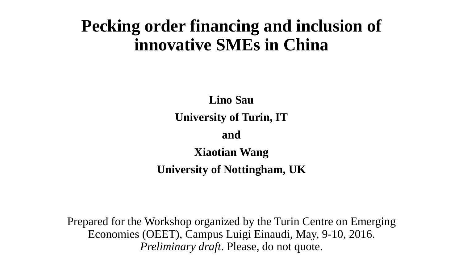# **Pecking order financing and inclusion of innovative SMEs in China**

**Lino Sau University of Turin, IT and Xiaotian Wang**

**University of Nottingham, UK**

Prepared for the Workshop organized by the Turin Centre on Emerging Economies (OEET), Campus Luigi Einaudi, May, 9-10, 2016. *Preliminary draft*. Please, do not quote.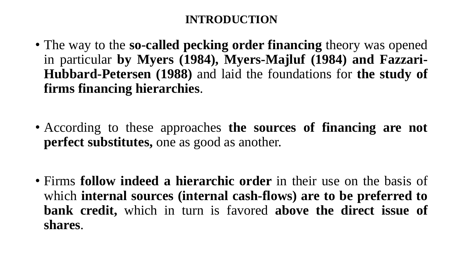- The way to the **so-called pecking order financing** theory was opened in particular **by Myers (1984), Myers-Majluf (1984) and Fazzari-Hubbard-Petersen (1988)** and laid the foundations for **the study of firms financing hierarchies**.
- According to these approaches **the sources of financing are not perfect substitutes,** one as good as another.
- Firms **follow indeed a hierarchic order** in their use on the basis of which **internal sources (internal cash-flows) are to be preferred to bank credit,** which in turn is favored **above the direct issue of shares**.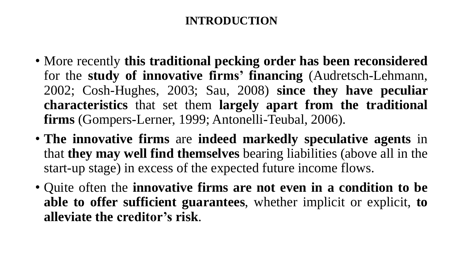- More recently **this traditional pecking order has been reconsidered** for the **study of innovative firms' financing** (Audretsch-Lehmann, 2002; Cosh-Hughes, 2003; Sau, 2008) **since they have peculiar characteristics** that set them **largely apart from the traditional firms** (Gompers-Lerner, 1999; Antonelli-Teubal, 2006).
- **The innovative firms** are **indeed markedly speculative agents** in that **they may well find themselves** bearing liabilities (above all in the start-up stage) in excess of the expected future income flows.
- Quite often the **innovative firms are not even in a condition to be able to offer sufficient guarantees**, whether implicit or explicit, **to alleviate the creditor's risk**.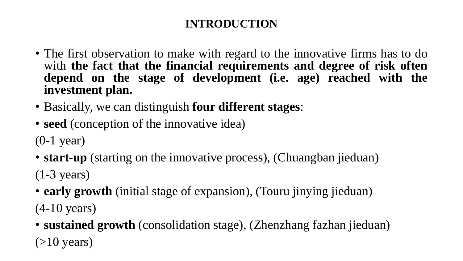- The first observation to make with regard to the innovative firms has to do with **the fact that the financial requirements and degree of risk often depend on the stage of development (i.e. age) reached with the investment plan.**
- Basically, we can distinguish **four different stages**:
- **seed** (conception of the innovative idea)
- (0-1 year)
- **start-up** (starting on the innovative process), (Chuangban jieduan)

(1-3 years)

- **early growth** (initial stage of expansion), (Touru jinying jieduan) (4-10 years)
- **sustained growth** (consolidation stage), (Zhenzhang fazhan jieduan)  $(>10$  years)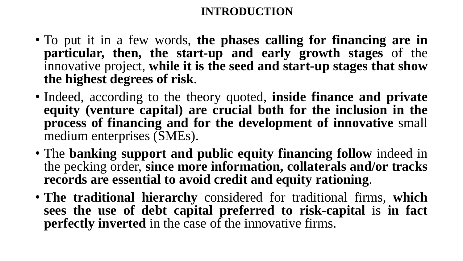- To put it in a few words, **the phases calling for financing are in particular, then, the start-up and early growth stages** of the innovative project, **while it is the seed and start-up stages that show the highest degrees of risk**.
- Indeed, according to the theory quoted, **inside finance and private equity (venture capital) are crucial both for the inclusion in the process of financing and for the development of innovative** small medium enterprises (SMEs).
- The **banking support and public equity financing follow** indeed in the pecking order, **since more information, collaterals and/or tracks records are essential to avoid credit and equity rationing**.
- **The traditional hierarchy** considered for traditional firms, **which sees the use of debt capital preferred to risk-capital** is **in fact perfectly inverted** in the case of the innovative firms.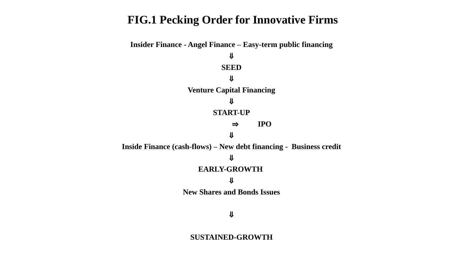#### **FIG.1 Pecking Order for Innovative Firms**



#### ⇓

#### **SUSTAINED-GROWTH**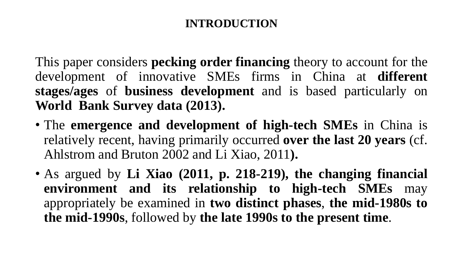This paper considers **pecking order financing** theory to account for the development of innovative SMEs firms in China at **different stages/ages** of **business development** and is based particularly on **World Bank Survey data (2013).**

- The **emergence and development of high-tech SMEs** in China is relatively recent, having primarily occurred **over the last 20 years** (cf. Ahlstrom and Bruton 2002 and Li Xiao, 2011**).**
- As argued by **Li Xiao (2011, p. 218-219), the changing financial environment and its relationship to high-tech SMEs** may appropriately be examined in **two distinct phases**, **the mid-1980s to the mid-1990s**, followed by **the late 1990s to the present time**.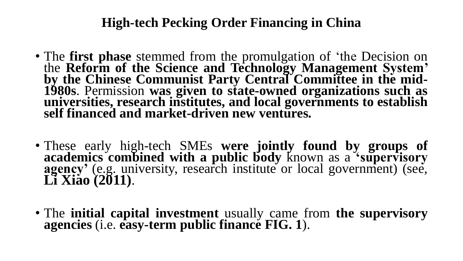- The **first phase** stemmed from the promulgation of 'the Decision on the **Reform of the Science and Technology Management System' by the Chinese Communist Party Central Committee in the mid-1980s**. Permission **was given to state-owned organizations such as universities, research institutes, and local governments to establish self financed and market-driven new ventures.**
- These early high-tech SMEs **were jointly found by groups of academics combined with a public body** known as a **'supervisory agency'** (e.g. university, research institute or local government) (see, **Li Xiao (2011)**.
- The **initial capital investment** usually came from **the supervisory agencies** (i.e. **easy-term public finance FIG. 1**).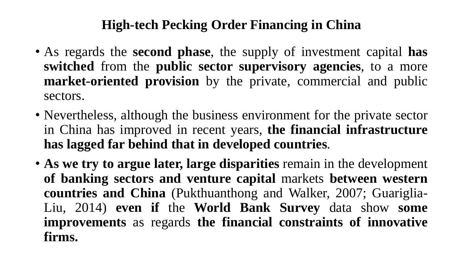- As regards the **second phase**, the supply of investment capital **has switched** from the **public sector supervisory agencies**, to a more **market-oriented provision** by the private, commercial and public sectors.
- Nevertheless, although the business environment for the private sector in China has improved in recent years, **the financial infrastructure has lagged far behind that in developed countries**.
- **As we try to argue later, large disparities** remain in the development **of banking sectors and venture capital** markets **between western countries and China** (Pukthuanthong and Walker, 2007; Guariglia-Liu, 2014) **even if** the **World Bank Survey** data show **some improvements** as regards **the financial constraints of innovative firms.**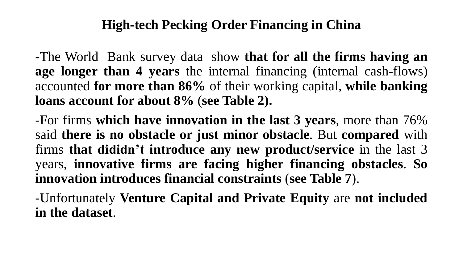-The World Bank survey data show **that for all the firms having an age longer than 4 years** the internal financing (internal cash-flows) accounted **for more than 86%** of their working capital, **while banking loans account for about 8%** (**see Table 2).**

-For firms **which have innovation in the last 3 years**, more than 76% said **there is no obstacle or just minor obstacle**. But **compared** with firms **that dididn't introduce any new product/service** in the last 3 years, **innovative firms are facing higher financing obstacles**. **So innovation introduces financial constraints** (**see Table 7**).

-Unfortunately **Venture Capital and Private Equity** are **not included in the dataset**.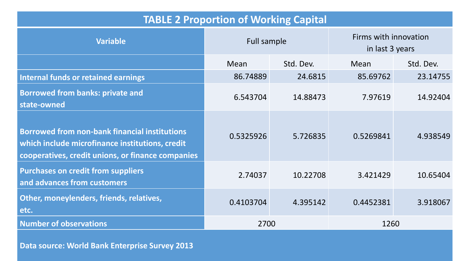| <b>TABLE 2 Proportion of Working Capital</b>                                                                                                                 |                    |           |                                          |           |  |  |
|--------------------------------------------------------------------------------------------------------------------------------------------------------------|--------------------|-----------|------------------------------------------|-----------|--|--|
| <b>Variable</b>                                                                                                                                              | <b>Full sample</b> |           | Firms with innovation<br>in last 3 years |           |  |  |
|                                                                                                                                                              | Mean               | Std. Dev. | Mean                                     | Std. Dev. |  |  |
| <b>Internal funds or retained earnings</b>                                                                                                                   | 86.74889           | 24.6815   | 85.69762                                 | 23.14755  |  |  |
| <b>Borrowed from banks: private and</b><br>state-owned                                                                                                       | 6.543704           | 14.88473  | 7.97619                                  | 14.92404  |  |  |
| <b>Borrowed from non-bank financial institutions</b><br>which include microfinance institutions, credit<br>cooperatives, credit unions, or finance companies | 0.5325926          | 5.726835  | 0.5269841                                | 4.938549  |  |  |
| <b>Purchases on credit from suppliers</b><br>and advances from customers                                                                                     | 2.74037            | 10.22708  | 3.421429                                 | 10.65404  |  |  |
| Other, moneylenders, friends, relatives,<br>etc.                                                                                                             | 0.4103704          | 4.395142  | 0.4452381                                | 3.918067  |  |  |
| <b>Number of observations</b>                                                                                                                                | 2700               |           | 1260                                     |           |  |  |

**Data source: World Bank Enterprise Survey 2013**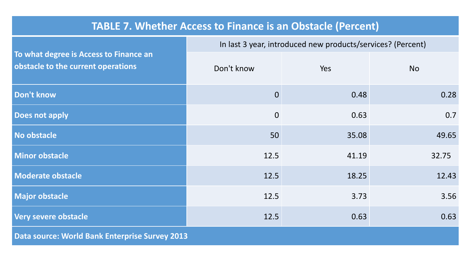#### **TABLE 7. Whether Access to Finance is an Obstacle (Percent)**

|                                                                              | In last 3 year, introduced new products/services? (Percent) |       |           |  |  |
|------------------------------------------------------------------------------|-------------------------------------------------------------|-------|-----------|--|--|
| To what degree is Access to Finance an<br>obstacle to the current operations | Don't know                                                  | Yes   | <b>No</b> |  |  |
| <b>Don't know</b>                                                            | $\overline{0}$                                              | 0.48  | 0.28      |  |  |
| <b>Does not apply</b>                                                        | $\overline{0}$                                              | 0.63  | 0.7       |  |  |
| No obstacle                                                                  | 50                                                          | 35.08 | 49.65     |  |  |
| <b>Minor obstacle</b>                                                        | 12.5                                                        | 41.19 | 32.75     |  |  |
| <b>Moderate obstacle</b>                                                     | 12.5                                                        | 18.25 | 12.43     |  |  |
| <b>Major obstacle</b>                                                        | 12.5                                                        | 3.73  | 3.56      |  |  |
| Very severe obstacle                                                         | 12.5                                                        | 0.63  | 0.63      |  |  |
| <b>Data source: World Bank Enterprise Survey 2013</b>                        |                                                             |       |           |  |  |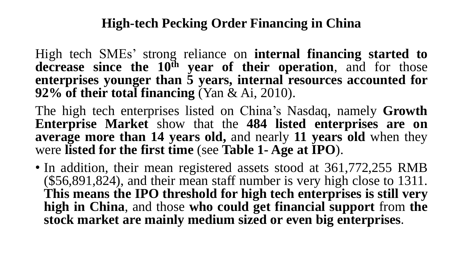High tech SMEs' strong reliance on **internal financing started to decrease since the 10th year of their operation**, and for those **enterprises younger than 5 years, internal resources accounted for 92% of their total financing** (Yan & Ai, 2010).

The high tech enterprises listed on China's Nasdaq, namely **Growth Enterprise Market** show that the **484 listed enterprises are on average more than 14 years old,** and nearly **11 years old** when they were **listed for the first time** (see **Table 1- Age at IPO**).

• In addition, their mean registered assets stood at 361,772,255 RMB (\$56,891,824), and their mean staff number is very high close to 1311. **This means the IPO threshold for high tech enterprises is still very high in China**, and those **who could get financial support** from **the stock market are mainly medium sized or even big enterprises**.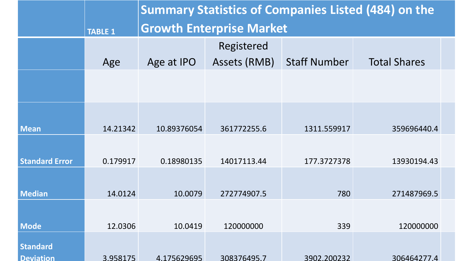|                                     |                | <b>Summary Statistics of Companies Listed (484) on the</b> |              |                     |                     |  |
|-------------------------------------|----------------|------------------------------------------------------------|--------------|---------------------|---------------------|--|
|                                     | <b>TABLE 1</b> | <b>Growth Enterprise Market</b>                            |              |                     |                     |  |
|                                     |                |                                                            | Registered   |                     |                     |  |
|                                     | Age            | Age at IPO                                                 | Assets (RMB) | <b>Staff Number</b> | <b>Total Shares</b> |  |
|                                     |                |                                                            |              |                     |                     |  |
|                                     |                |                                                            |              |                     |                     |  |
| <b>Mean</b>                         | 14.21342       | 10.89376054                                                | 361772255.6  | 1311.559917         | 359696440.4         |  |
| <b>Standard Error</b>               | 0.179917       | 0.18980135                                                 | 14017113.44  | 177.3727378         | 13930194.43         |  |
|                                     |                |                                                            |              |                     |                     |  |
| <b>Median</b>                       | 14.0124        | 10.0079                                                    | 272774907.5  | 780                 | 271487969.5         |  |
| <b>Mode</b>                         | 12.0306        | 10.0419                                                    | 120000000    | 339                 | 120000000           |  |
|                                     |                |                                                            |              |                     |                     |  |
| <b>Standard</b><br><b>Deviation</b> | 3.958175       | 4.175629695                                                | 308376495.7  | 3902.200232         | 306464277.4         |  |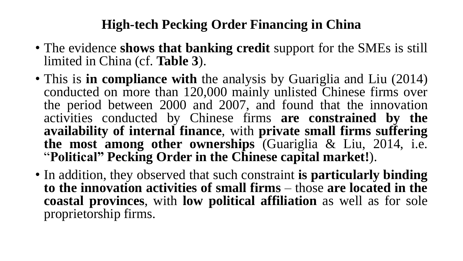- The evidence **shows that banking credit** support for the SMEs is still limited in China (cf. **Table 3**).
- This is **in compliance with** the analysis by Guariglia and Liu (2014) conducted on more than 120,000 mainly unlisted Chinese firms over the period between 2000 and 2007, and found that the innovation activities conducted by Chinese firms **are constrained by the availability of internal finance**, with **private small firms suffering the most among other ownerships** (Guariglia & Liu, 2014, i.e. "**Political" Pecking Order in the Chinese capital market!**).
- In addition, they observed that such constraint **is particularly binding to the innovation activities of small firms** – those **are located in the coastal provinces**, with **low political affiliation** as well as for sole proprietorship firms.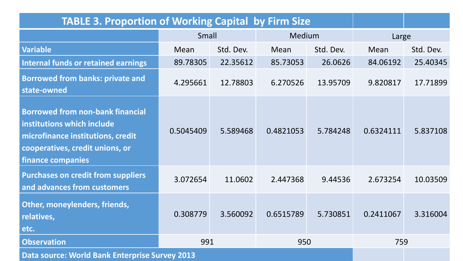| <b>TABLE 3. Proportion of Working Capital by Firm Size</b>                                                                                                         |            |           |           |           |           |           |
|--------------------------------------------------------------------------------------------------------------------------------------------------------------------|------------|-----------|-----------|-----------|-----------|-----------|
|                                                                                                                                                                    | Small      |           | Medium    |           | Large     |           |
| <b>Variable</b>                                                                                                                                                    | Mean       | Std. Dev. | Mean      | Std. Dev. | Mean      | Std. Dev. |
| <b>Internal funds or retained earnings</b>                                                                                                                         | 89.78305   | 22.35612  | 85.73053  | 26.0626   | 84.06192  | 25.40345  |
| <b>Borrowed from banks: private and</b><br>state-owned                                                                                                             | 4.295661   | 12.78803  | 6.270526  | 13.95709  | 9.820817  | 17.71899  |
| <b>Borrowed from non-bank financial</b><br>institutions which include<br>microfinance institutions, credit<br>cooperatives, credit unions, or<br>finance companies | 0.5045409  | 5.589468  | 0.4821053 | 5.784248  | 0.6324111 | 5.837108  |
| <b>Purchases on credit from suppliers</b><br>and advances from customers                                                                                           | 3.072654   | 11.0602   | 2.447368  | 9.44536   | 2.673254  | 10.03509  |
| Other, moneylenders, friends,<br>relatives,<br>etc.                                                                                                                | 0.308779   | 3.560092  | 0.6515789 | 5.730851  | 0.2411067 | 3.316004  |
| <b>Observation</b>                                                                                                                                                 | 991<br>950 |           |           |           | 759       |           |
| <b>Data source: World Bank Enterprise Survey 2013</b>                                                                                                              |            |           |           |           |           |           |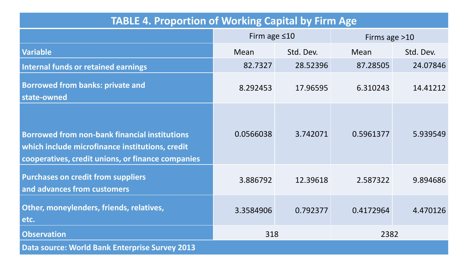| <b>TABLE 4. Proportion of Working Capital by Firm Age</b>                                                                                                    |                    |           |                 |           |  |  |
|--------------------------------------------------------------------------------------------------------------------------------------------------------------|--------------------|-----------|-----------------|-----------|--|--|
|                                                                                                                                                              | Firm age $\leq 10$ |           | Firms age $>10$ |           |  |  |
| <b>Variable</b>                                                                                                                                              | Mean               | Std. Dev. | Mean            | Std. Dev. |  |  |
| <b>Internal funds or retained earnings</b>                                                                                                                   | 82.7327            | 28.52396  | 87.28505        | 24.07846  |  |  |
| <b>Borrowed from banks: private and</b><br>state-owned                                                                                                       | 8.292453           | 17.96595  | 6.310243        | 14.41212  |  |  |
| <b>Borrowed from non-bank financial institutions</b><br>which include microfinance institutions, credit<br>cooperatives, credit unions, or finance companies | 0.0566038          | 3.742071  | 0.5961377       | 5.939549  |  |  |
| <b>Purchases on credit from suppliers</b><br>and advances from customers                                                                                     | 3.886792           | 12.39618  | 2.587322        | 9.894686  |  |  |
| Other, moneylenders, friends, relatives,<br>etc.                                                                                                             | 3.3584906          | 0.792377  | 0.4172964       | 4.470126  |  |  |
| <b>Observation</b>                                                                                                                                           | 318<br>2382        |           |                 |           |  |  |
| <b>Data source: World Bank Enterprise Survey 2013</b>                                                                                                        |                    |           |                 |           |  |  |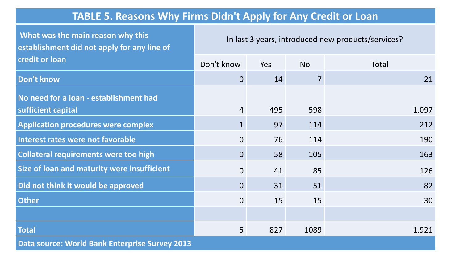#### **TABLE 5. Reasons Why Firms Didn't Apply for Any Credit or Loan**

**What was the main reason why this establishment did not apply for any line of credit or loan** In last 3 years, introduced new products/services? Don't know Yes No No Total **Don't know** 0 14 7 21 **No need for a loan - establishment had sufficient capital 1,097 4** 495 598 **1,097** Application procedures were complex and the settlement of the settlement of the settlement of the settlement of  $212$ **Interest rates were not favorable** 190 **Collateral requirements were too high** 0 58 105 163 **Size of loan and maturity were insufficient** 126 126 **Did not think it would be approved** and the set of the set of the set of the set of the set of the set of the set of the set of the set of the set of the set of the set of the set of the set of the set of the set of the s **Other** 0 15 15 30 **Total** 5 827 1089 1,921 **Data source: World Bank Enterprise Survey 2013**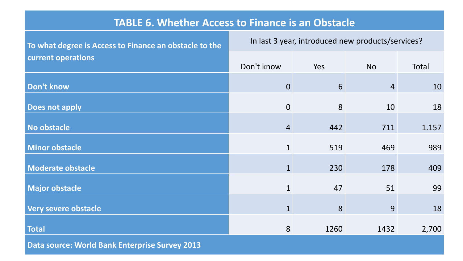#### **TABLE 6. Whether Access to Finance is an Obstacle**

| To what degree is Access to Finance an obstacle to the | In last 3 year, introduced new products/services? |      |                |       |  |  |
|--------------------------------------------------------|---------------------------------------------------|------|----------------|-------|--|--|
| current operations                                     | Don't know                                        | Yes  | <b>No</b>      | Total |  |  |
| Don't know                                             | $\overline{0}$                                    | 6    | $\overline{4}$ | 10    |  |  |
| <b>Does not apply</b>                                  | $\overline{0}$                                    | 8    | 10             | 18    |  |  |
| No obstacle                                            | $\overline{4}$                                    | 442  | 711            | 1.157 |  |  |
| <b>Minor obstacle</b>                                  | $\mathbf{1}$                                      | 519  | 469            | 989   |  |  |
| <b>Moderate obstacle</b>                               | $\mathbf{1}$                                      | 230  | 178            | 409   |  |  |
| <b>Major obstacle</b>                                  | $\mathbf{1}$                                      | 47   | 51             | 99    |  |  |
| Very severe obstacle                                   | $\mathbf{1}$                                      | 8    | 9              | 18    |  |  |
| <b>Total</b>                                           | 8                                                 | 1260 | 1432           | 2,700 |  |  |
| Dota course: World Dank Enterprise Curvey 2012         |                                                   |      |                |       |  |  |

**Data source: World Bank Enterprise Survey 2013**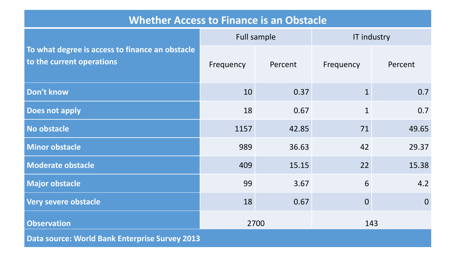#### **Whether Access to Finance is an Obstacle**

|                                                                              |           | Full sample | IT industry    |                |  |
|------------------------------------------------------------------------------|-----------|-------------|----------------|----------------|--|
| To what degree is access to finance an obstacle<br>to the current operations | Frequency | Percent     | Frequency      | Percent        |  |
| Don't know                                                                   | 10        | 0.37        | $\mathbf{1}$   | 0.7            |  |
| Does not apply                                                               | 18        | 0.67        | $\mathbf{1}$   | 0.7            |  |
| No obstacle                                                                  | 1157      | 42.85       | 71             | 49.65          |  |
| <b>Minor obstacle</b>                                                        | 989       | 36.63       | 42             | 29.37          |  |
| <b>Moderate obstacle</b>                                                     | 409       | 15.15       | 22             | 15.38          |  |
| <b>Major obstacle</b>                                                        | 99        | 3.67        | 6              | 4.2            |  |
| Very severe obstacle                                                         | 18        | 0.67        | $\overline{0}$ | $\overline{0}$ |  |
| <b>Observation</b>                                                           |           | 2700        | 143            |                |  |
| <b>Data source: World Bank Enterprise Survey 2013</b>                        |           |             |                |                |  |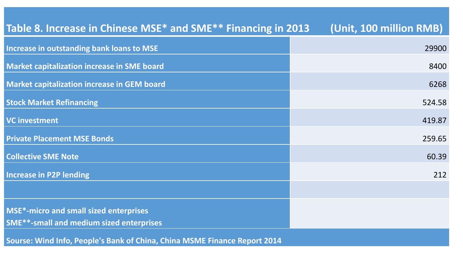| Table 8. Increase in Chinese MSE* and SME** Financing in 2013             | (Unit, 100 million RMB) |
|---------------------------------------------------------------------------|-------------------------|
| Increase in outstanding bank loans to MSE                                 | 29900                   |
| <b>Market capitalization increase in SME board</b>                        | 8400                    |
| <b>Market capitalization increase in GEM board</b>                        | 6268                    |
| <b>Stock Market Refinancing</b>                                           | 524.58                  |
| <b>VC investment</b>                                                      | 419.87                  |
| <b>Private Placement MSE Bonds</b>                                        | 259.65                  |
| <b>Collective SME Note</b>                                                | 60.39                   |
| <b>Increase in P2P lending</b>                                            | 212                     |
|                                                                           |                         |
| <b>MSE*-micro and small sized enterprises</b>                             |                         |
| <b>SME**-small and medium sized enterprises</b>                           |                         |
| Sourse: Wind Info, People's Bank of China, China MSME Finance Report 2014 |                         |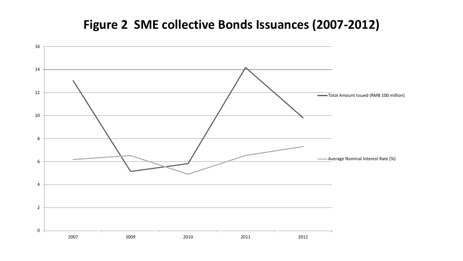### **Figure 2 SME collective Bonds Issuances (2007-2012)**

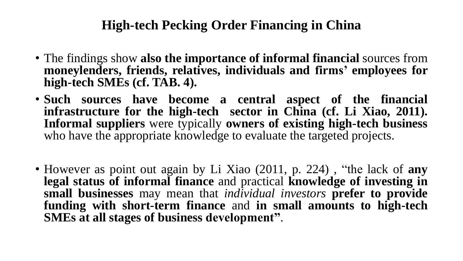- The findings show **also the importance of informal financial** sources from **moneylenders, friends, relatives, individuals and firms' employees for high-tech SMEs (cf. TAB. 4).**
- **Such sources have become a central aspect of the financial infrastructure for the high-tech sector in China (cf. Li Xiao, 2011). Informal suppliers** were typically **owners of existing high-tech business** who have the appropriate knowledge to evaluate the targeted projects.
- However as point out again by Li Xiao (2011, p. 224) , "the lack of **any legal status of informal finance** and practical **knowledge of investing in small businesses** may mean that *individual investors* **prefer to provide funding with short-term finance** and **in small amounts to high-tech SMEs at all stages of business development"**.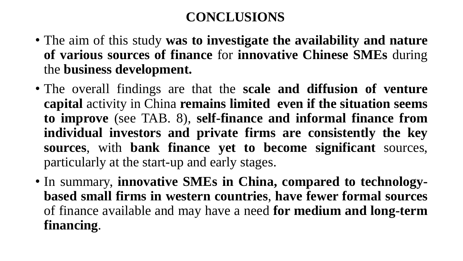## **CONCLUSIONS**

- The aim of this study **was to investigate the availability and nature of various sources of finance** for **innovative Chinese SMEs** during the **business development.**
- The overall findings are that the **scale and diffusion of venture capital** activity in China **remains limited even if the situation seems to improve** (see TAB. 8), **self-finance and informal finance from individual investors and private firms are consistently the key sources**, with **bank finance yet to become significant** sources, particularly at the start-up and early stages.
- In summary, **innovative SMEs in China, compared to technologybased small firms in western countries**, **have fewer formal sources** of finance available and may have a need **for medium and long-term financing**.